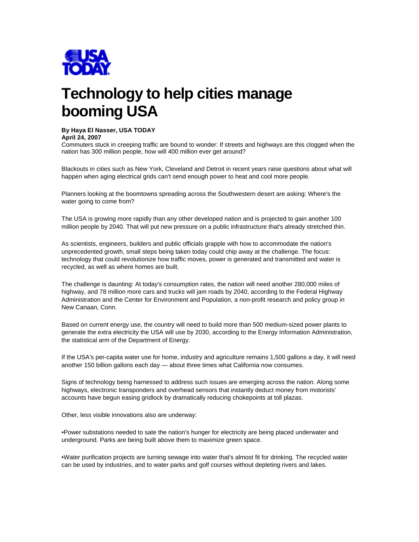

# **Technology to help cities manage booming USA**

# **By Haya El Nasser, USA TODAY**

**April 24, 2007** 

Commuters stuck in creeping traffic are bound to wonder: If streets and highways are this clogged when the nation has 300 million people, how will 400 million ever get around?

Blackouts in cities such as New York, Cleveland and Detroit in recent years raise questions about what will happen when aging electrical grids can't send enough power to heat and cool more people.

Planners looking at the boomtowns spreading across the Southwestern desert are asking: Where's the water going to come from?

The USA is growing more rapidly than any other developed nation and is projected to gain another 100 million people by 2040. That will put new pressure on a public infrastructure that's already stretched thin.

As scientists, engineers, builders and public officials grapple with how to accommodate the nation's unprecedented growth, small steps being taken today could chip away at the challenge. The focus: technology that could revolutionize how traffic moves, power is generated and transmitted and water is recycled, as well as where homes are built.

The challenge is daunting: At today's consumption rates, the nation will need another 280,000 miles of highway, and 78 million more cars and trucks will jam roads by 2040, according to the Federal Highway Administration and the Center for Environment and Population, a non-profit research and policy group in New Canaan, Conn.

Based on current energy use, the country will need to build more than 500 medium-sized power plants to generate the extra electricity the USA will use by 2030, according to the Energy Information Administration, the statistical arm of the Department of Energy.

If the USA's per-capita water use for home, industry and agriculture remains 1,500 gallons a day, it will need another 150 billion gallons each day — about three times what California now consumes.

Signs of technology being harnessed to address such issues are emerging across the nation. Along some highways, electronic transponders and overhead sensors that instantly deduct money from motorists' accounts have begun easing gridlock by dramatically reducing chokepoints at toll plazas.

Other, less visible innovations also are underway:

•Power substations needed to sate the nation's hunger for electricity are being placed underwater and underground. Parks are being built above them to maximize green space.

•Water purification projects are turning sewage into water that's almost fit for drinking. The recycled water can be used by industries, and to water parks and golf courses without depleting rivers and lakes.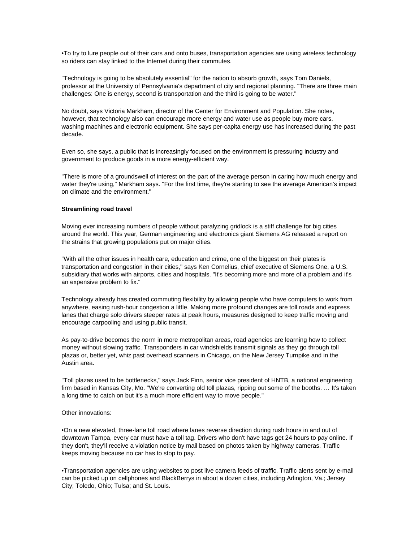•To try to lure people out of their cars and onto buses, transportation agencies are using wireless technology so riders can stay linked to the Internet during their commutes.

"Technology is going to be absolutely essential" for the nation to absorb growth, says Tom Daniels, professor at the University of Pennsylvania's department of city and regional planning. "There are three main challenges: One is energy, second is transportation and the third is going to be water."

No doubt, says Victoria Markham, director of the Center for Environment and Population. She notes, however, that technology also can encourage more energy and water use as people buy more cars, washing machines and electronic equipment. She says per-capita energy use has increased during the past decade.

Even so, she says, a public that is increasingly focused on the environment is pressuring industry and government to produce goods in a more energy-efficient way.

"There is more of a groundswell of interest on the part of the average person in caring how much energy and water they're using," Markham says. "For the first time, they're starting to see the average American's impact on climate and the environment."

### **Streamlining road travel**

Moving ever increasing numbers of people without paralyzing gridlock is a stiff challenge for big cities around the world. This year, German engineering and electronics giant Siemens AG released a report on the strains that growing populations put on major cities.

"With all the other issues in health care, education and crime, one of the biggest on their plates is transportation and congestion in their cities," says Ken Cornelius, chief executive of Siemens One, a U.S. subsidiary that works with airports, cities and hospitals. "It's becoming more and more of a problem and it's an expensive problem to fix."

Technology already has created commuting flexibility by allowing people who have computers to work from anywhere, easing rush-hour congestion a little. Making more profound changes are toll roads and express lanes that charge solo drivers steeper rates at peak hours, measures designed to keep traffic moving and encourage carpooling and using public transit.

As pay-to-drive becomes the norm in more metropolitan areas, road agencies are learning how to collect money without slowing traffic. Transponders in car windshields transmit signals as they go through toll plazas or, better yet, whiz past overhead scanners in Chicago, on the New Jersey Turnpike and in the Austin area.

"Toll plazas used to be bottlenecks," says Jack Finn, senior vice president of HNTB, a national engineering firm based in Kansas City, Mo. "We're converting old toll plazas, ripping out some of the booths. … It's taken a long time to catch on but it's a much more efficient way to move people."

#### Other innovations:

•On a new elevated, three-lane toll road where lanes reverse direction during rush hours in and out of downtown Tampa, every car must have a toll tag. Drivers who don't have tags get 24 hours to pay online. If they don't, they'll receive a violation notice by mail based on photos taken by highway cameras. Traffic keeps moving because no car has to stop to pay.

•Transportation agencies are using websites to post live camera feeds of traffic. Traffic alerts sent by e-mail can be picked up on cellphones and BlackBerrys in about a dozen cities, including Arlington, Va.; Jersey City; Toledo, Ohio; Tulsa; and St. Louis.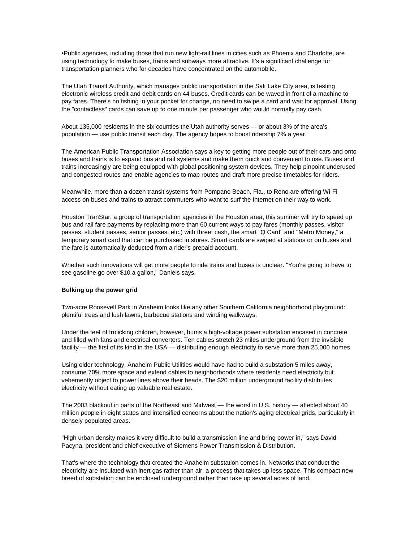•Public agencies, including those that run new light-rail lines in cities such as Phoenix and Charlotte, are using technology to make buses, trains and subways more attractive. It's a significant challenge for transportation planners who for decades have concentrated on the automobile.

The Utah Transit Authority, which manages public transportation in the Salt Lake City area, is testing electronic wireless credit and debit cards on 44 buses. Credit cards can be waved in front of a machine to pay fares. There's no fishing in your pocket for change, no need to swipe a card and wait for approval. Using the "contactless" cards can save up to one minute per passenger who would normally pay cash.

About 135,000 residents in the six counties the Utah authority serves — or about 3% of the area's population — use public transit each day. The agency hopes to boost ridership 7% a year.

The American Public Transportation Association says a key to getting more people out of their cars and onto buses and trains is to expand bus and rail systems and make them quick and convenient to use. Buses and trains increasingly are being equipped with global positioning system devices. They help pinpoint underused and congested routes and enable agencies to map routes and draft more precise timetables for riders.

Meanwhile, more than a dozen transit systems from Pompano Beach, Fla., to Reno are offering Wi-Fi access on buses and trains to attract commuters who want to surf the Internet on their way to work.

Houston TranStar, a group of transportation agencies in the Houston area, this summer will try to speed up bus and rail fare payments by replacing more than 60 current ways to pay fares (monthly passes, visitor passes, student passes, senior passes, etc.) with three: cash, the smart "Q Card" and "Metro Money," a temporary smart card that can be purchased in stores. Smart cards are swiped at stations or on buses and the fare is automatically deducted from a rider's prepaid account.

Whether such innovations will get more people to ride trains and buses is unclear. "You're going to have to see gasoline go over \$10 a gallon," Daniels says.

# **Bulking up the power grid**

Two-acre Roosevelt Park in Anaheim looks like any other Southern California neighborhood playground: plentiful trees and lush lawns, barbecue stations and winding walkways.

Under the feet of frolicking children, however, hums a high-voltage power substation encased in concrete and filled with fans and electrical converters. Ten cables stretch 23 miles underground from the invisible facility — the first of its kind in the USA — distributing enough electricity to serve more than 25,000 homes.

Using older technology, Anaheim Public Utilities would have had to build a substation 5 miles away, consume 70% more space and extend cables to neighborhoods where residents need electricity but vehemently object to power lines above their heads. The \$20 million underground facility distributes electricity without eating up valuable real estate.

The 2003 blackout in parts of the Northeast and Midwest — the worst in U.S. history — affected about 40 million people in eight states and intensified concerns about the nation's aging electrical grids, particularly in densely populated areas.

"High urban density makes it very difficult to build a transmission line and bring power in," says David Pacyna, president and chief executive of Siemens Power Transmission & Distribution.

That's where the technology that created the Anaheim substation comes in. Networks that conduct the electricity are insulated with inert gas rather than air, a process that takes up less space. This compact new breed of substation can be enclosed underground rather than take up several acres of land.